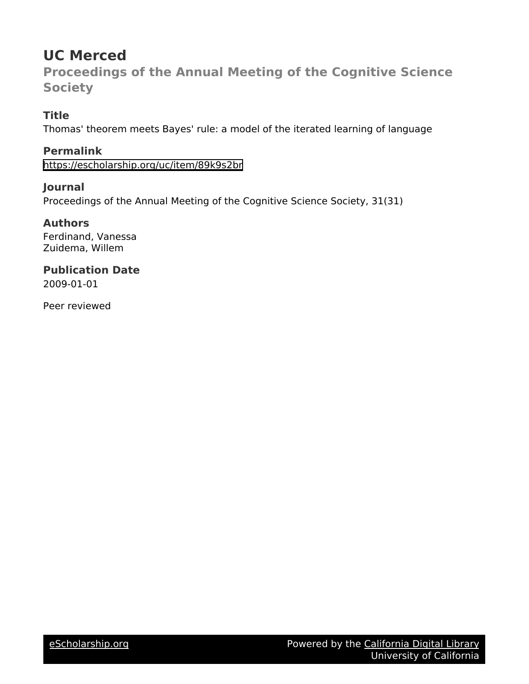# **UC Merced**

**Proceedings of the Annual Meeting of the Cognitive Science Society**

# **Title**

Thomas' theorem meets Bayes' rule: a model of the iterated learning of language

**Permalink** <https://escholarship.org/uc/item/89k9s2br>

### **Journal**

Proceedings of the Annual Meeting of the Cognitive Science Society, 31(31)

## **Authors**

Ferdinand, Vanessa Zuidema, Willem

### **Publication Date** 2009-01-01

Peer reviewed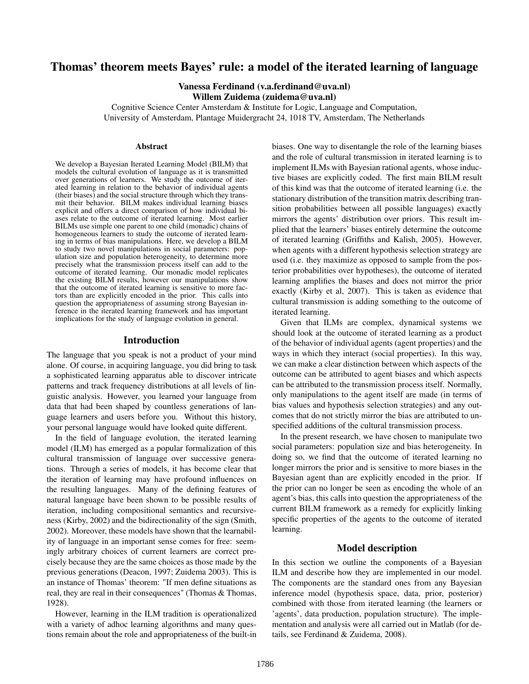### Thomas' theorem meets Bayes' rule: a model of the iterated learning of language

Vanessa Ferdinand (v.a.ferdinand@uva.nl) Willem Zuidema (zuidema@uva.nl)

Cognitive Science Center Amsterdam & Institute for Logic, Language and Computation, University of Amsterdam, Plantage Muidergracht 24, 1018 TV, Amsterdam, The Netherlands

#### **Abstract**

We develop a Bayesian Iterated Learning Model (BILM) that models the cultural evolution of language as it is transmitted over generations of learners. We study the outcome of iterated learning in relation to the behavior of individual agents (their biases) and the social structure through which they transmit their behavior. BILM makes individual learning biases explicit and offers a direct comparison of how individual biases relate to the outcome of iterated learning. Most earlier BILMs use simple one parent to one child (monadic) chains of homogeneous learners to study the outcome of iterated learning in terms of bias manipulations. Here, we develop a BILM to study two novel manipulations in social parameters: population size and population heterogeneity, to determine more precisely what the transmission process itself can add to the outcome of iterated learning. Our monadic model replicates the existing BILM results, however our manipulations show that the outcome of iterated learning is sensitive to more factors than are explicitly encoded in the prior. This calls into question the appropriateness of assuming strong Bayesian inference in the iterated learning framework and has important implications for the study of language evolution in general.

#### Introduction

The language that you speak is not a product of your mind alone. Of course, in acquiring language, you did bring to task a sophisticated learning apparatus able to discover intricate patterns and track frequency distributions at all levels of linguistic analysis. However, you learned your language from data that had been shaped by countless generations of language learners and users before you. Without this history, your personal language would have looked quite different.

In the field of language evolution, the iterated learning model (ILM) has emerged as a popular formalization of this cultural transmission of language over successive generations. Through a series of models, it has become clear that the iteration of learning may have profound influences on the resulting languages. Many of the defining features of natural language have been shown to be possible results of iteration, including compositional semantics and recursiveness (Kirby, 2002) and the bidirectionality of the sign (Smith, 2002). Moreover, these models have shown that the learnability of language in an important sense comes for free: seemingly arbitrary choices of current learners are correct precisely because they are the same choices as those made by the previous generations (Deacon, 1997; Zuidema 2003). This is an instance of Thomas' theorem: "If men define situations as real, they are real in their consequences" (Thomas & Thomas, 1928).

However, learning in the ILM tradition is operationalized with a variety of adhoc learning algorithms and many questions remain about the role and appropriateness of the built-in biases. One way to disentangle the role of the learning biases and the role of cultural transmission in iterated learning is to implement ILMs with Bayesian rational agents, whose inductive biases are explicitly coded. The first main BILM result of this kind was that the outcome of iterated learning (i.e. the stationary distribution of the transition matrix describing transition probabilities between all possible languages) exactly mirrors the agents' distribution over priors. This result implied that the learners' biases entirely determine the outcome of iterated learning (Griffiths and Kalish, 2005). However, when agents with a different hypothesis selection strategy are used (i.e. they maximize as opposed to sample from the posterior probabilities over hypotheses), the outcome of iterated learning amplifies the biases and does not mirror the prior exactly (Kirby et al, 2007). This is taken as evidence that cultural transmission is adding something to the outcome of iterated learning.

Given that ILMs are complex, dynamical systems we should look at the outcome of iterated learning as a product of the behavior of individual agents (agent properties) and the ways in which they interact (social properties). In this way, we can make a clear distinction between which aspects of the outcome can be attributed to agent biases and which aspects can be attributed to the transmission process itself. Normally, only manipulations to the agent itself are made (in terms of bias values and hypothesis selection strategies) and any outcomes that do not strictly mirror the bias are attributed to unspecified additions of the cultural transmission process.

In the present research, we have chosen to manipulate two social parameters: population size and bias heterogeneity. In doing so, we find that the outcome of iterated learning no longer mirrors the prior and is sensitive to more biases in the Bayesian agent than are explicitly encoded in the prior. If the prior can no longer be seen as encoding the whole of an agent's bias, this calls into question the appropriateness of the current BILM framework as a remedy for explicitly linking specific properties of the agents to the outcome of iterated learning.

#### Model description

In this section we outline the components of a Bayesian ILM and describe how they are implemented in our model. The components are the standard ones from any Bayesian inference model (hypothesis space, data, prior, posterior) combined with those from iterated learning (the learners or 'agents', data production, population structure). The implementation and analysis were all carried out in Matlab (for details, see Ferdinand & Zuidema, 2008).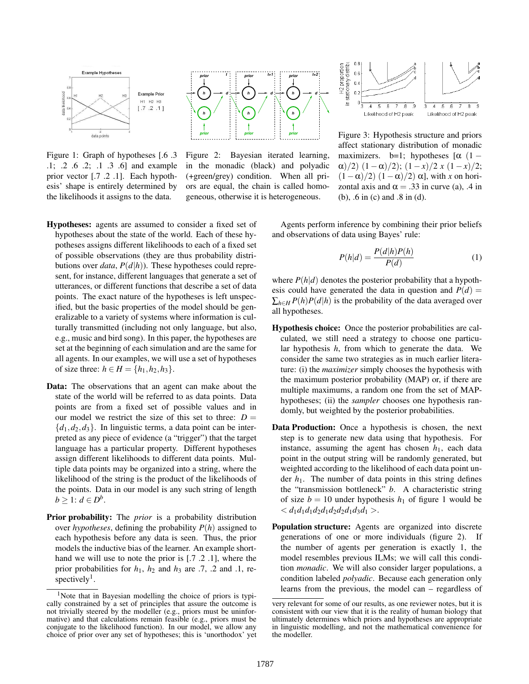

Figure 1: Graph of hypotheses [.6 .3 .1; .2 .6 .2; .1 .3 .6] and example prior vector [.7 .2 .1]. Each hypothesis' shape is entirely determined by the likelihoods it assigns to the data.



Figure 2: Bayesian iterated learning, in the monadic (black) and polyadic (+green/grey) condition. When all priors are equal, the chain is called homogeneous, otherwise it is heterogeneous.

- Hypotheses: agents are assumed to consider a fixed set of hypotheses about the state of the world. Each of these hypotheses assigns different likelihoods to each of a fixed set of possible observations (they are thus probability distributions over *data*,  $P(d|h)$ ). These hypotheses could represent, for instance, different languages that generate a set of utterances, or different functions that describe a set of data points. The exact nature of the hypotheses is left unspecified, but the basic properties of the model should be generalizable to a variety of systems where information is culturally transmitted (including not only language, but also, e.g., music and bird song). In this paper, the hypotheses are set at the beginning of each simulation and are the same for all agents. In our examples, we will use a set of hypotheses of size three:  $h \in H = \{h_1, h_2, h_3\}.$
- Data: The observations that an agent can make about the state of the world will be referred to as data points. Data points are from a fixed set of possible values and in our model we restrict the size of this set to three:  $D =$  ${d_1, d_2, d_3}$ . In linguistic terms, a data point can be interpreted as any piece of evidence (a "trigger") that the target language has a particular property. Different hypotheses assign different likelihoods to different data points. Multiple data points may be organized into a string, where the likelihood of the string is the product of the likelihoods of the points. Data in our model is any such string of length  $b \geq 1$ :  $d \in D^b$ .
- Prior probability: The *prior* is a probability distribution over *hypotheses*, defining the probability  $P(h)$  assigned to each hypothesis before any data is seen. Thus, the prior models the inductive bias of the learner. An example shorthand we will use to note the prior is [.7 .2 .1], where the prior probabilities for  $h_1$ ,  $h_2$  and  $h_3$  are .7, .2 and .1, respectively<sup>1</sup>.



Figure 3: Hypothesis structure and priors affect stationary distribution of monadic maximizers. b=1; hypotheses  $[\alpha (1 \alpha$ (2)  $(1-\alpha)/2$ ;  $(1-x)/2$  *x*  $(1-x)/2$ ;  $(1-\alpha)/2$ )  $(1-\alpha)/2$ )  $\alpha$ , with *x* on horizontal axis and  $\alpha = .33$  in curve (a), .4 in (b), .6 in (c) and .8 in (d).

Agents perform inference by combining their prior beliefs and observations of data using Bayes' rule:

$$
P(h|d) = \frac{P(d|h)P(h)}{P(d)}\tag{1}
$$

where  $P(h|d)$  denotes the posterior probability that a hypothesis could have generated the data in question and  $P(d)$  =  $\sum_{h \in H} P(h)P(d|h)$  is the probability of the data averaged over all hypotheses.

- Hypothesis choice: Once the posterior probabilities are calculated, we still need a strategy to choose one particular hypothesis *h*, from which to generate the data. We consider the same two strategies as in much earlier literature: (i) the *maximizer* simply chooses the hypothesis with the maximum posterior probability (MAP) or, if there are multiple maximums, a random one from the set of MAPhypotheses; (ii) the *sampler* chooses one hypothesis randomly, but weighted by the posterior probabilities.
- Data Production: Once a hypothesis is chosen, the next step is to generate new data using that hypothesis. For instance, assuming the agent has chosen  $h_1$ , each data point in the output string will be randomly generated, but weighted according to the likelihood of each data point under  $h_1$ . The number of data points in this string defines the "transmission bottleneck" *b*. A characteristic string of size  $b = 10$  under hypothesis  $h_1$  of figure 1 would be  $d_1d_1d_2d_1d_2d_2d_1d_3d_1$
- Population structure: Agents are organized into discrete generations of one or more individuals (figure 2). If the number of agents per generation is exactly 1, the model resembles previous ILMs; we will call this condition *monadic*. We will also consider larger populations, a condition labeled *polyadic*. Because each generation only learns from the previous, the model can – regardless of

<sup>&</sup>lt;sup>1</sup>Note that in Bayesian modelling the choice of priors is typically constrained by a set of principles that assure the outcome is not trivially steered by the modeller (e.g., priors must be uninformative) and that calculations remain feasible (e.g., priors must be conjugate to the likelihood function). In our model, we allow any choice of prior over any set of hypotheses; this is 'unorthodox' yet

very relevant for some of our results, as one reviewer notes, but it is consistent with our view that it is the reality of human biology that ultimately determines which priors and hypotheses are appropriate in linguistic modelling, and not the mathematical convenience for the modeller.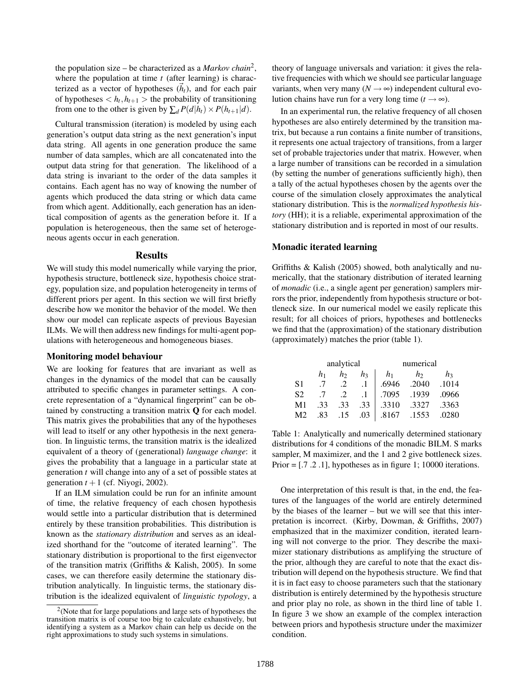the population size – be characterized as a *Markov chain*<sup>2</sup> , where the population at time *t* (after learning) is characterized as a vector of hypotheses  $(\vec{h}_t)$ , and for each pair of hypotheses  $\langle h_t, h_{t+1} \rangle$  the probability of transitioning from one to the other is given by  $\sum_{d} P(d|h_t) \times P(h_{t+1}|d)$ .

Cultural transmission (iteration) is modeled by using each generation's output data string as the next generation's input data string. All agents in one generation produce the same number of data samples, which are all concatenated into the output data string for that generation. The likelihood of a data string is invariant to the order of the data samples it contains. Each agent has no way of knowing the number of agents which produced the data string or which data came from which agent. Additionally, each generation has an identical composition of agents as the generation before it. If a population is heterogeneous, then the same set of heterogeneous agents occur in each generation.

#### **Results**

We will study this model numerically while varying the prior, hypothesis structure, bottleneck size, hypothesis choice strategy, population size, and population heterogeneity in terms of different priors per agent. In this section we will first briefly describe how we monitor the behavior of the model. We then show our model can replicate aspects of previous Bayesian ILMs. We will then address new findings for multi-agent populations with heterogeneous and homogeneous biases.

#### Monitoring model behaviour

We are looking for features that are invariant as well as changes in the dynamics of the model that can be causally attributed to specific changes in parameter settings. A concrete representation of a "dynamical fingerprint" can be obtained by constructing a transition matrix Q for each model. This matrix gives the probabilities that any of the hypotheses will lead to itself or any other hypothesis in the next generation. In linguistic terms, the transition matrix is the idealized equivalent of a theory of (generational) *language change*: it gives the probability that a language in a particular state at generation *t* will change into any of a set of possible states at generation  $t + 1$  (cf. Niyogi, 2002).

If an ILM simulation could be run for an infinite amount of time, the relative frequency of each chosen hypothesis would settle into a particular distribution that is determined entirely by these transition probabilities. This distribution is known as the *stationary distribution* and serves as an idealized shorthand for the "outcome of iterated learning". The stationary distribution is proportional to the first eigenvector of the transition matrix (Griffiths & Kalish, 2005). In some cases, we can therefore easily determine the stationary distribution analytically. In linguistic terms, the stationary distribution is the idealized equivalent of *linguistic typology*, a theory of language universals and variation: it gives the relative frequencies with which we should see particular language variants, when very many  $(N \rightarrow \infty)$  independent cultural evolution chains have run for a very long time  $(t \rightarrow \infty)$ .

In an experimental run, the relative frequency of all chosen hypotheses are also entirely determined by the transition matrix, but because a run contains a finite number of transitions, it represents one actual trajectory of transitions, from a larger set of probable trajectories under that matrix. However, when a large number of transitions can be recorded in a simulation (by setting the number of generations sufficiently high), then a tally of the actual hypotheses chosen by the agents over the course of the simulation closely approximates the analytical stationary distribution. This is the *normalized hypothesis history* (HH); it is a reliable, experimental approximation of the stationary distribution and is reported in most of our results.

#### Monadic iterated learning

Griffiths & Kalish (2005) showed, both analytically and numerically, that the stationary distribution of iterated learning of *monadic* (i.e., a single agent per generation) samplers mirrors the prior, independently from hypothesis structure or bottleneck size. In our numerical model we easily replicate this result; for all choices of priors, hypotheses and bottlenecks we find that the (approximation) of the stationary distribution (approximately) matches the prior (table 1).

|                | analytical |     |                | numerical      |       |                |  |  |
|----------------|------------|-----|----------------|----------------|-------|----------------|--|--|
|                | h1         | h   | h <sub>3</sub> | h <sub>1</sub> | h     | h <sub>3</sub> |  |  |
| S1             | .7         |     |                | .6946          | .2040 | .1014          |  |  |
| S <sub>2</sub> | .7         |     |                | .7095          | .1939 | .0966          |  |  |
| M <sub>1</sub> | .33        | .33 | .33            | .3310          | .3327 | .3363          |  |  |
| M2             | .83        | .15 | .03            | .8167          | .1553 | .0280          |  |  |

Table 1: Analytically and numerically determined stationary distributions for 4 conditions of the monadic BILM. S marks sampler, M maximizer, and the 1 and 2 give bottleneck sizes. Prior = [.7 .2 .1], hypotheses as in figure 1; 10000 iterations.

One interpretation of this result is that, in the end, the features of the languages of the world are entirely determined by the biases of the learner – but we will see that this interpretation is incorrect. (Kirby, Dowman, & Griffiths, 2007) emphasized that in the maximizer condition, iterated learning will not converge to the prior. They describe the maximizer stationary distributions as amplifying the structure of the prior, although they are careful to note that the exact distribution will depend on the hypothesis structure. We find that it is in fact easy to choose parameters such that the stationary distribution is entirely determined by the hypothesis structure and prior play no role, as shown in the third line of table 1. In figure 3 we show an example of the complex interaction between priors and hypothesis structure under the maximizer condition.

 $2$ (Note that for large populations and large sets of hypotheses the transition matrix is of course too big to calculate exhaustively, but identifying a system as a Markov chain can help us decide on the right approximations to study such systems in simulations.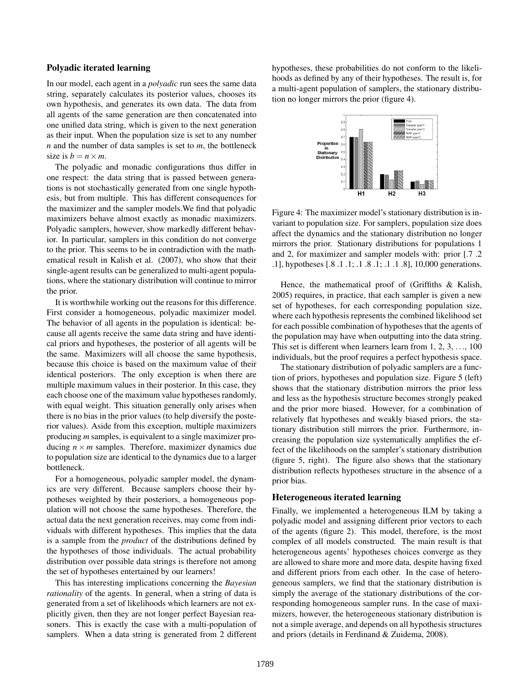#### Polyadic iterated learning

In our model, each agent in a *polyadic* run sees the same data string, separately calculates its posterior values, chooses its own hypothesis, and generates its own data. The data from all agents of the same generation are then concatenated into one unified data string, which is given to the next generation as their input. When the population size is set to any number *n* and the number of data samples is set to *m*, the bottleneck size is  $b = n \times m$ .

The polyadic and monadic configurations thus differ in one respect: the data string that is passed between generations is not stochastically generated from one single hypothesis, but from multiple. This has different consequences for the maximizer and the sampler models.We find that polyadic maximizers behave almost exactly as monadic maximizers. Polyadic samplers, however, show markedly different behavior. In particular, samplers in this condition do not converge to the prior. This seems to be in contradiction with the mathematical result in Kalish et al. (2007), who show that their single-agent results can be generalized to multi-agent populations, where the stationary distribution will continue to mirror the prior.

It is worthwhile working out the reasons for this difference. First consider a homogeneous, polyadic maximizer model. The behavior of all agents in the population is identical: because all agents receive the same data string and have identical priors and hypotheses, the posterior of all agents will be the same. Maximizers will all choose the same hypothesis, because this choice is based on the maximum value of their identical posteriors. The only exception is when there are multiple maximum values in their posterior. In this case, they each choose one of the maximum value hypotheses randomly, with equal weight. This situation generally only arises when there is no bias in the prior values (to help diversify the posterior values). Aside from this exception, multiple maximizers producing *m* samples, is equivalent to a single maximizer producing  $n \times m$  samples. Therefore, maximizer dynamics due to population size are identical to the dynamics due to a larger bottleneck.

For a homogeneous, polyadic sampler model, the dynamics are very different. Because samplers choose their hypotheses weighted by their posteriors, a homogeneous population will not choose the same hypotheses. Therefore, the actual data the next generation receives, may come from individuals with different hypotheses. This implies that the data is a sample from the *product* of the distributions defined by the hypotheses of those individuals. The actual probability distribution over possible data strings is therefore not among the set of hypotheses entertained by our learners!

This has interesting implications concerning the *Bayesian rationality* of the agents. In general, when a string of data is generated from a set of likelihoods which learners are not explicitly given, then they are not longer perfect Bayesian reasoners. This is exactly the case with a multi-population of samplers. When a data string is generated from 2 different hypotheses, these probabilities do not conform to the likelihoods as defined by any of their hypotheses. The result is, for a multi-agent population of samplers, the stationary distribution no longer mirrors the prior (figure 4).



Figure 4: The maximizer model's stationary distribution is invariant to population size. For samplers, population size does affect the dynamics and the stationary distribution no longer mirrors the prior. Stationary distributions for populations 1 and 2, for maximizer and sampler models with: prior [.7 .2 .1], hypotheses [.8 .1 .1; .1 .8 .1; .1 .1 .8], 10,000 generations.

Hence, the mathematical proof of (Griffiths & Kalish, 2005) requires, in practice, that each sampler is given a new set of hypotheses, for each corresponding population size, where each hypothesis represents the combined likelihood set for each possible combination of hypotheses that the agents of the population may have when outputting into the data string. This set is different when learners learn from 1, 2, 3, ..., 100 individuals, but the proof requires a perfect hypothesis space.

The stationary distribution of polyadic samplers are a function of priors, hypotheses and population size. Figure 5 (left) shows that the stationary distribution mirrors the prior less and less as the hypothesis structure becomes strongly peaked and the prior more biased. However, for a combination of relatively flat hypotheses and weakly biased priors, the stationary distribution still mirrors the prior. Furthermore, increasing the population size systematically amplifies the effect of the likelihoods on the sampler's stationary distribution (figure 5, right). The figure also shows that the stationary distribution reflects hypotheses structure in the absence of a prior bias.

#### Heterogeneous iterated learning

Finally, we implemented a heterogeneous ILM by taking a polyadic model and assigning different prior vectors to each of the agents (figure 2). This model, therefore, is the most complex of all models constructed. The main result is that heterogeneous agents' hypotheses choices converge as they are allowed to share more and more data, despite having fixed and different priors from each other. In the case of heterogeneous samplers, we find that the stationary distribution is simply the average of the stationary distributions of the corresponding homogeneous sampler runs. In the case of maximizers, however, the heterogeneous stationary distribution is not a simple average, and depends on all hypothesis structures and priors (details in Ferdinand & Zuidema, 2008).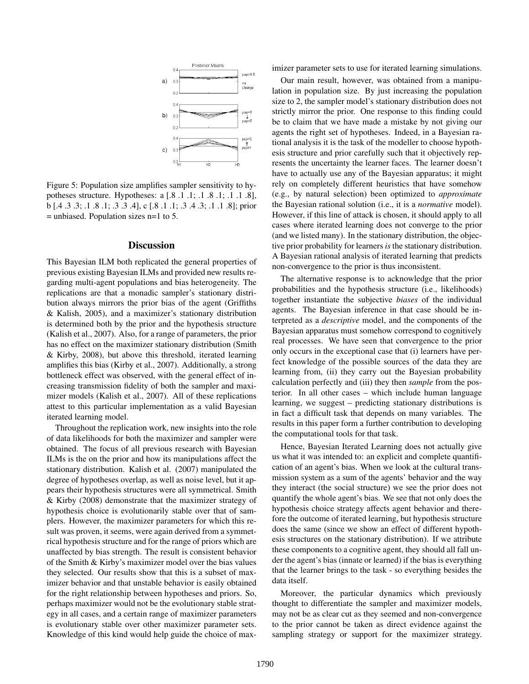

Figure 5: Population size amplifies sampler sensitivity to hypotheses structure. Hypotheses: a [.8 .1 .1; .1 .8 .1; .1 .1 .8], b [.4 .3 .3; .1 .8 .1; .3 .3 .4], c [.8 .1 .1; .3 .4 .3; .1 .1 .8]; prior = unbiased. Population sizes n=1 to 5.

#### **Discussion**

This Bayesian ILM both replicated the general properties of previous existing Bayesian ILMs and provided new results regarding multi-agent populations and bias heterogeneity. The replications are that a monadic sampler's stationary distribution always mirrors the prior bias of the agent (Griffiths & Kalish, 2005), and a maximizer's stationary distribution is determined both by the prior and the hypothesis structure (Kalish et al., 2007). Also, for a range of parameters, the prior has no effect on the maximizer stationary distribution (Smith & Kirby, 2008), but above this threshold, iterated learning amplifies this bias (Kirby et al., 2007). Additionally, a strong bottleneck effect was observed, with the general effect of increasing transmission fidelity of both the sampler and maximizer models (Kalish et al., 2007). All of these replications attest to this particular implementation as a valid Bayesian iterated learning model.

Throughout the replication work, new insights into the role of data likelihoods for both the maximizer and sampler were obtained. The focus of all previous research with Bayesian ILMs is the on the prior and how its manipulations affect the stationary distribution. Kalish et al. (2007) manipulated the degree of hypotheses overlap, as well as noise level, but it appears their hypothesis structures were all symmetrical. Smith & Kirby (2008) demonstrate that the maximizer strategy of hypothesis choice is evolutionarily stable over that of samplers. However, the maximizer parameters for which this result was proven, it seems, were again derived from a symmetrical hypothesis structure and for the range of priors which are unaffected by bias strength. The result is consistent behavior of the Smith & Kirby's maximizer model over the bias values they selected. Our results show that this is a subset of maximizer behavior and that unstable behavior is easily obtained for the right relationship between hypotheses and priors. So, perhaps maximizer would not be the evolutionary stable strategy in all cases, and a certain range of maximizer parameters is evolutionary stable over other maximizer parameter sets. Knowledge of this kind would help guide the choice of maximizer parameter sets to use for iterated learning simulations.

Our main result, however, was obtained from a manipulation in population size. By just increasing the population size to 2, the sampler model's stationary distribution does not strictly mirror the prior. One response to this finding could be to claim that we have made a mistake by not giving our agents the right set of hypotheses. Indeed, in a Bayesian rational analysis it is the task of the modeller to choose hypothesis structure and prior carefully such that it objectively represents the uncertainty the learner faces. The learner doesn't have to actually use any of the Bayesian apparatus; it might rely on completely different heuristics that have somehow (e.g., by natural selection) been optimized to *approximate* the Bayesian rational solution (i.e., it is a *normative* model). However, if this line of attack is chosen, it should apply to all cases where iterated learning does not converge to the prior (and we listed many). In the stationary distribution, the objective prior probability for learners *is* the stationary distribution. A Bayesian rational analysis of iterated learning that predicts non-convergence to the prior is thus inconsistent.

The alternative response is to acknowledge that the prior probabilities and the hypothesis structure (i.e., likelihoods) together instantiate the subjective *biases* of the individual agents. The Bayesian inference in that case should be interpreted as a *descriptive* model, and the components of the Bayesian apparatus must somehow correspond to cognitively real processes. We have seen that convergence to the prior only occurs in the exceptional case that (i) learners have perfect knowledge of the possible sources of the data they are learning from, (ii) they carry out the Bayesian probability calculation perfectly and (iii) they then *sample* from the posterior. In all other cases – which include human language learning, we suggest – predicting stationary distributions is in fact a difficult task that depends on many variables. The results in this paper form a further contribution to developing the computational tools for that task.

Hence, Bayesian Iterated Learning does not actually give us what it was intended to: an explicit and complete quantification of an agent's bias. When we look at the cultural transmission system as a sum of the agents' behavior and the way they interact (the social structure) we see the prior does not quantify the whole agent's bias. We see that not only does the hypothesis choice strategy affects agent behavior and therefore the outcome of iterated learning, but hypothesis structure does the same (since we show an effect of different hypothesis structures on the stationary distribution). If we attribute these components to a cognitive agent, they should all fall under the agent's bias (innate or learned) if the bias is everything that the learner brings to the task - so everything besides the data itself.

Moreover, the particular dynamics which previously thought to differentiate the sampler and maximizer models, may not be as clear cut as they seemed and non-convergence to the prior cannot be taken as direct evidence against the sampling strategy or support for the maximizer strategy.